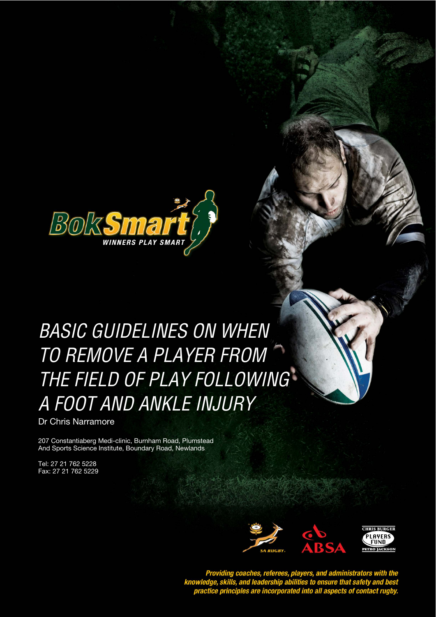

# BASIC GUIDELINES ON WHEN **STYLE HEADING FOR TABLES**  TO REMOVE A PLAYER FROM THE FIELD OF PLAY FOLLOWING A FOOT AND ANKLE INJURY

Basic Guidelines on When to Remove a Player From the Field of Play Following a Foot and Ankle Injury

Dr Chris Narramore

207 Constantiaberg Medi-clinic, Burnham Road, Plumstead And Sports Science Institute, Boundary Road, Newlands

Tel: 27 21 762 5228 Fax: 27 21 762 5229



Providing coaches, referees, players, and administrators with the<br>knowledge, skills, and leadership abilities to ensure that safety and best<br>practice principles are incorporated into all aspects of contact rugby.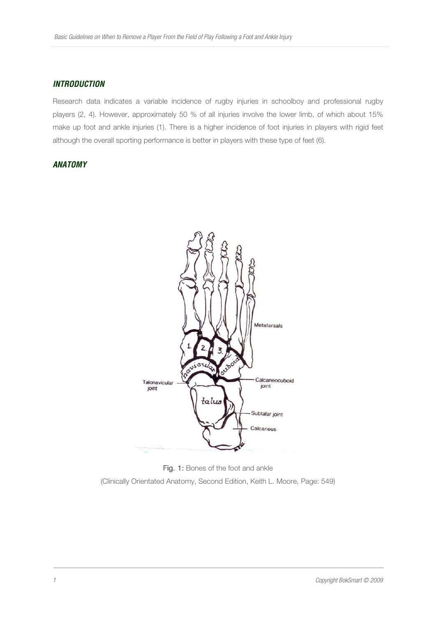## **INTRODUCTION**

Research data indicates a variable incidence of rugby injuries in schoolboy and professional rugby players (2, 4). However, approximately 50 % of all injuries involve the lower limb, of which about 15% make up foot and ankle injuries (1). There is a higher incidence of foot injuries in players with rigid feet although the overall sporting performance is better in players with these type of feet (6).

# **ANATOMY**



Fig. 1: Bones of the foot and ankle (Clinically Orientated Anatomy, Second Edition, Keith L. Moore, Page: 549)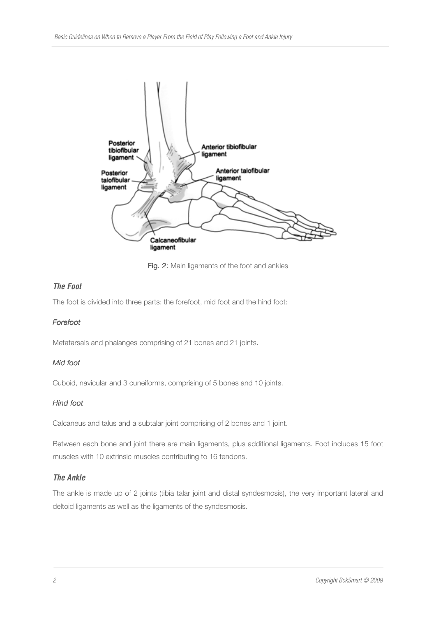

Fig. 2: Main ligaments of the foot and ankles

# **The Foot**

The foot is divided into three parts: the forefoot, mid foot and the hind foot:

# Forefoot

Metatarsals and phalanges comprising of 21 bones and 21 joints.

# Mid foot

Cuboid, navicular and 3 cuneiforms, comprising of 5 bones and 10 joints.

# Hind foot

Calcaneus and talus and a subtalar joint comprising of 2 bones and 1 joint.

Between each bone and joint there are main ligaments, plus additional ligaments. Foot includes 15 foot muscles with 10 extrinsic muscles contributing to 16 tendons.

# **The Ankle**

The ankle is made up of 2 joints (tibia talar joint and distal syndesmosis), the very important lateral and deltoid ligaments as well as the ligaments of the syndesmosis.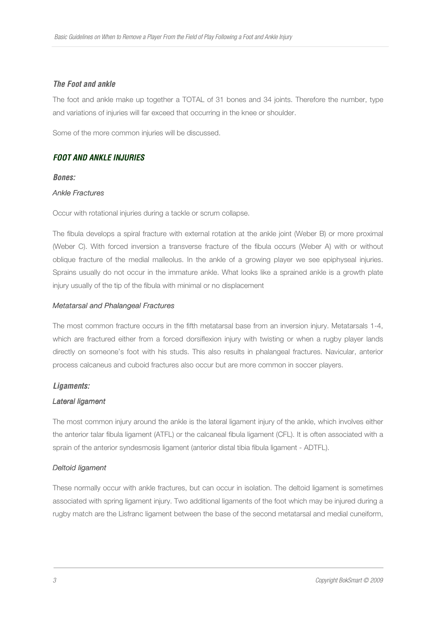## **The Foot and ankle**

The foot and ankle make up together a TOTAL of 31 bones and 34 joints. Therefore the number, type and variations of injuries will far exceed that occurring in the knee or shoulder.

Some of the more common injuries will be discussed.

# **FOOT AND ANKLE INJURIES**

#### **Bones:**

#### **Ankle Fractures**

Occur with rotational injuries during a tackle or scrum collapse.

The fibula develops a spiral fracture with external rotation at the ankle joint (Weber B) or more proximal (Weber C). With forced inversion a transverse fracture of the fibula occurs (Weber A) with or without oblique fracture of the medial malleolus. In the ankle of a growing player we see epiphyseal injuries. Sprains usually do not occur in the immature ankle. What looks like a sprained ankle is a growth plate injury usually of the tip of the fibula with minimal or no displacement

## Metatarsal and Phalangeal Fractures

The most common fracture occurs in the fifth metatarsal base from an inversion injury. Metatarsals 1-4, which are fractured either from a forced dorsiflexion injury with twisting or when a rugby player lands directly on someone's foot with his studs. This also results in phalangeal fractures. Navicular, anterior process calcaneus and cuboid fractures also occur but are more common in soccer players.

## **Ligaments:**

#### Lateral ligament

The most common injury around the ankle is the lateral ligament injury of the ankle, which involves either the anterior talar fibula ligament (ATFL) or the calcaneal fibula ligament (CFL). It is often associated with a sprain of the anterior syndesmosis ligament (anterior distal tibia fibula ligament - ADTFL).

## Deltoid ligament

These normally occur with ankle fractures, but can occur in isolation. The deltoid ligament is sometimes associated with spring ligament injury. Two additional ligaments of the foot which may be injured during a rugby match are the Lisfranc ligament between the base of the second metatarsal and medial cuneiform,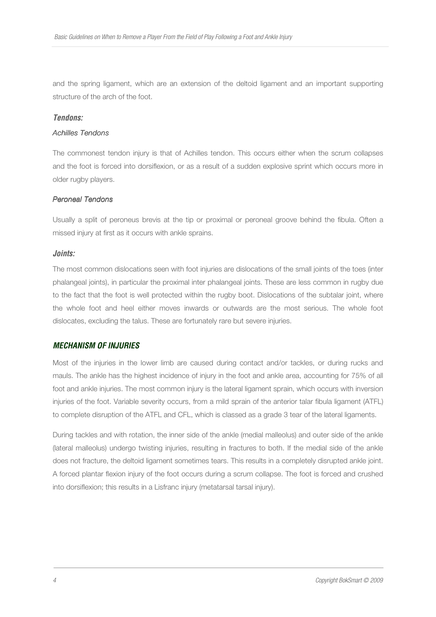and the spring ligament, which are an extension of the deltoid ligament and an important supporting structure of the arch of the foot.

#### **Tendons:**

## Achilles Tendons

The commonest tendon injury is that of Achilles tendon. This occurs either when the scrum collapses and the foot is forced into dorsiflexion, or as a result of a sudden explosive sprint which occurs more in older rugby players.

#### Peroneal Tendons

Usually a split of peroneus brevis at the tip or proximal or peroneal groove behind the fibula. Often a missed injury at first as it occurs with ankle sprains.

## **Joints:**

The most common dislocations seen with foot injuries are dislocations of the small joints of the toes (inter phalangeal joints), in particular the proximal inter phalangeal joints. These are less common in rugby due to the fact that the foot is well protected within the rugby boot. Dislocations of the subtalar joint, where the whole foot and heel either moves inwards or outwards are the most serious. The whole foot dislocates, excluding the talus. These are fortunately rare but severe injuries.

## **MECHANISM OF INJURIES**

Most of the injuries in the lower limb are caused during contact and/or tackles, or during rucks and mauls. The ankle has the highest incidence of injury in the foot and ankle area, accounting for 75% of all foot and ankle injuries. The most common injury is the lateral ligament sprain, which occurs with inversion injuries of the foot. Variable severity occurs, from a mild sprain of the anterior talar fibula ligament (ATFL) to complete disruption of the ATFL and CFL, which is classed as a grade 3 tear of the lateral ligaments.

During tackles and with rotation, the inner side of the ankle (medial malleolus) and outer side of the ankle (lateral malleolus) undergo twisting injuries, resulting in fractures to both. If the medial side of the ankle does not fracture, the deltoid ligament sometimes tears. This results in a completely disrupted ankle joint. A forced plantar flexion injury of the foot occurs during a scrum collapse. The foot is forced and crushed into dorsiflexion; this results in a Lisfranc injury (metatarsal tarsal injury).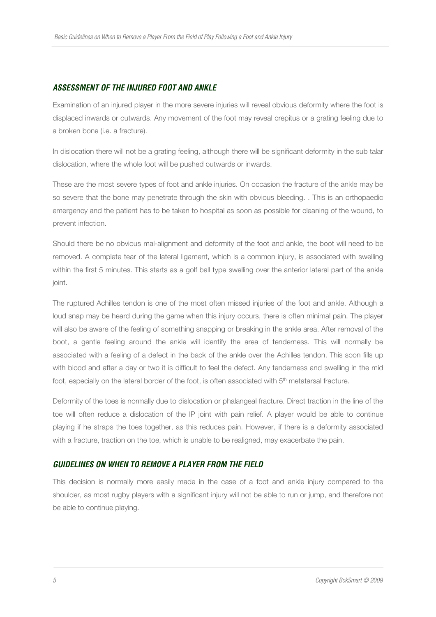# **ASSESSMENT OF THE INJURED FOOT AND ANKLE**

Examination of an injured player in the more severe injuries will reveal obvious deformity where the foot is displaced inwards or outwards. Any movement of the foot may reveal crepitus or a grating feeling due to a broken bone (i.e. a fracture).

In dislocation there will not be a grating feeling, although there will be significant deformity in the sub talar dislocation, where the whole foot will be pushed outwards or inwards.

These are the most severe types of foot and ankle injuries. On occasion the fracture of the ankle may be so severe that the bone may penetrate through the skin with obvious bleeding. . This is an orthopaedic emergency and the patient has to be taken to hospital as soon as possible for cleaning of the wound, to prevent infection.

Should there be no obvious mal-alignment and deformity of the foot and ankle, the boot will need to be removed. A complete tear of the lateral ligament, which is a common injury, is associated with swelling within the first 5 minutes. This starts as a golf ball type swelling over the anterior lateral part of the ankle joint.

The ruptured Achilles tendon is one of the most often missed injuries of the foot and ankle. Although a loud snap may be heard during the game when this injury occurs, there is often minimal pain. The player will also be aware of the feeling of something snapping or breaking in the ankle area. After removal of the boot, a gentle feeling around the ankle will identify the area of tenderness. This will normally be associated with a feeling of a defect in the back of the ankle over the Achilles tendon. This soon fills up with blood and after a day or two it is difficult to feel the defect. Any tenderness and swelling in the mid foot, especially on the lateral border of the foot, is often associated with 5<sup>th</sup> metatarsal fracture.

Deformity of the toes is normally due to dislocation or phalangeal fracture. Direct traction in the line of the toe will often reduce a dislocation of the IP joint with pain relief. A player would be able to continue playing if he straps the toes together, as this reduces pain. However, if there is a deformity associated with a fracture, traction on the toe, which is unable to be realigned, may exacerbate the pain.

## **GUIDELINES ON WHEN TO REMOVE A PLAYER FROM THE FIELD**

This decision is normally more easily made in the case of a foot and ankle injury compared to the shoulder, as most rugby players with a significant injury will not be able to run or jump, and therefore not be able to continue playing.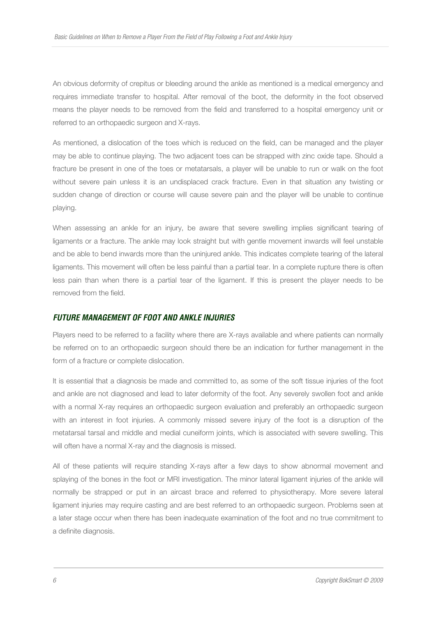An obvious deformity of crepitus or bleeding around the ankle as mentioned is a medical emergency and requires immediate transfer to hospital. After removal of the boot, the deformity in the foot observed means the player needs to be removed from the field and transferred to a hospital emergency unit or referred to an orthopaedic surgeon and X-rays.

As mentioned, a dislocation of the toes which is reduced on the field, can be managed and the player may be able to continue playing. The two adjacent toes can be strapped with zinc oxide tape. Should a fracture be present in one of the toes or metatarsals, a player will be unable to run or walk on the foot without severe pain unless it is an undisplaced crack fracture. Even in that situation any twisting or sudden change of direction or course will cause severe pain and the player will be unable to continue playing.

When assessing an ankle for an injury, be aware that severe swelling implies significant tearing of ligaments or a fracture. The ankle may look straight but with gentle movement inwards will feel unstable and be able to bend inwards more than the uninjured ankle. This indicates complete tearing of the lateral ligaments. This movement will often be less painful than a partial tear. In a complete rupture there is often less pain than when there is a partial tear of the ligament. If this is present the player needs to be removed from the field.

## **FUTURE MANAGEMENT OF FOOT AND ANKLE INJURIES**

Players need to be referred to a facility where there are X-rays available and where patients can normally be referred on to an orthopaedic surgeon should there be an indication for further management in the form of a fracture or complete dislocation.

It is essential that a diagnosis be made and committed to, as some of the soft tissue injuries of the foot and ankle are not diagnosed and lead to later deformity of the foot. Any severely swollen foot and ankle with a normal X-ray requires an orthopaedic surgeon evaluation and preferably an orthopaedic surgeon with an interest in foot injuries. A commonly missed severe injury of the foot is a disruption of the metatarsal tarsal and middle and medial cuneiform joints, which is associated with severe swelling. This will often have a normal X-ray and the diagnosis is missed.

All of these patients will require standing X-rays after a few days to show abnormal movement and splaying of the bones in the foot or MRI investigation. The minor lateral ligament injuries of the ankle will normally be strapped or put in an aircast brace and referred to physiotherapy. More severe lateral ligament injuries may require casting and are best referred to an orthopaedic surgeon. Problems seen at a later stage occur when there has been inadequate examination of the foot and no true commitment to a definite diagnosis.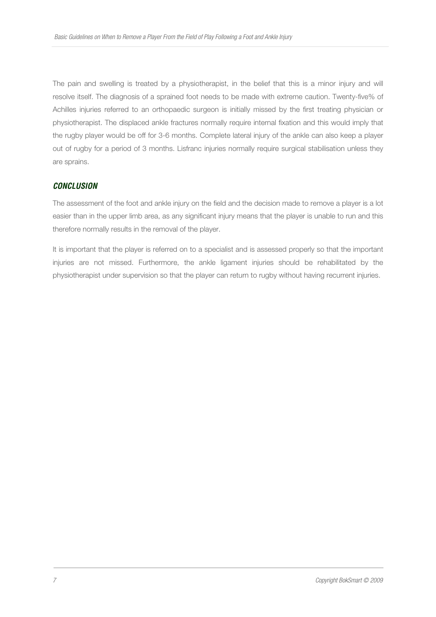The pain and swelling is treated by a physiotherapist, in the belief that this is a minor injury and will resolve itself. The diagnosis of a sprained foot needs to be made with extreme caution. Twenty-five% of Achilles injuries referred to an orthopaedic surgeon is initially missed by the first treating physician or physiotherapist. The displaced ankle fractures normally require internal fixation and this would imply that the rugby player would be off for 3-6 months. Complete lateral injury of the ankle can also keep a player out of rugby for a period of 3 months. Lisfranc injuries normally require surgical stabilisation unless they are sprains.

## **CONCLUSION**

The assessment of the foot and ankle injury on the field and the decision made to remove a player is a lot easier than in the upper limb area, as any significant injury means that the player is unable to run and this therefore normally results in the removal of the player.

It is important that the player is referred on to a specialist and is assessed properly so that the important injuries are not missed. Furthermore, the ankle ligament injuries should be rehabilitated by the physiotherapist under supervision so that the player can return to rugby without having recurrent injuries.